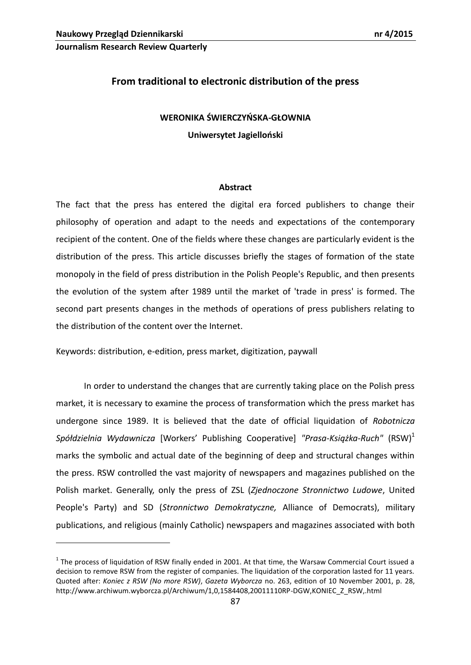**Journalism Research Review Quarterly**

# **From traditional to electronic distribution of the press**

## **WERONIKA ŚWIERCZYŃSKA-GŁOWNIA**

**Uniwersytet Jagielloński** 

#### **Abstract**

The fact that the press has entered the digital era forced publishers to change their philosophy of operation and adapt to the needs and expectations of the contemporary recipient of the content. One of the fields where these changes are particularly evident is the distribution of the press. This article discusses briefly the stages of formation of the state monopoly in the field of press distribution in the Polish People's Republic, and then presents the evolution of the system after 1989 until the market of 'trade in press' is formed. The second part presents changes in the methods of operations of press publishers relating to the distribution of the content over the Internet.

Keywords: distribution, e-edition, press market, digitization, paywall

In order to understand the changes that are currently taking place on the Polish press market, it is necessary to examine the process of transformation which the press market has undergone since 1989. It is believed that the date of official liquidation of *Robotnicza Spółdzielnia Wydawnicza* [Workers' Publishing Cooperative] "Prasa-*Książka-Ruch*" (RSW)<sup>1</sup> marks the symbolic and actual date of the beginning of deep and structural changes within the press. RSW controlled the vast majority of newspapers and magazines published on the Polish market. Generally, only the press of ZSL (*Zjednoczone Stronnictwo Ludowe*, United People's Party) and SD (*Stronnictwo Demokratyczne,* Alliance of Democrats), military publications, and religious (mainly Catholic) newspapers and magazines associated with both

 $1$  The process of liquidation of RSW finally ended in 2001. At that time, the Warsaw Commercial Court issued a decision to remove RSW from the register of companies. The liquidation of the corporation lasted for 11 years. Quoted after: *Koniec z RSW (No more RSW)*, *Gazeta Wyborcza* no. 263, edition of 10 November 2001, p. 28, http://www.archiwum.wyborcza.pl/Archiwum/1,0,1584408,20011110RP-DGW,KONIEC\_Z\_RSW,.html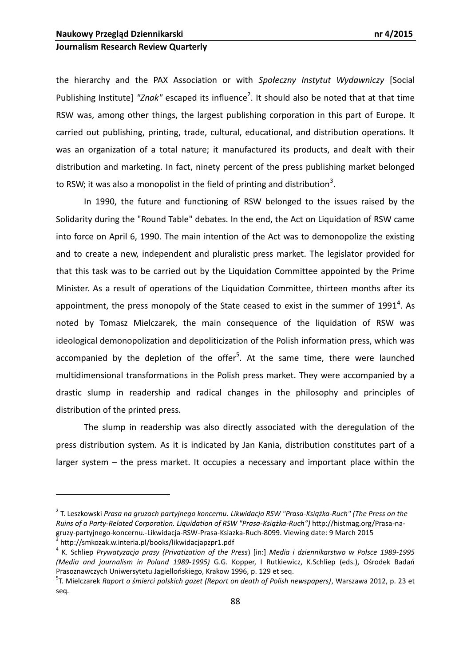## **Journalism Research Review Quarterly**

the hierarchy and the PAX Association or with *Społeczny Instytut Wydawniczy* [Social Publishing Institute] "Znak" escaped its influence<sup>2</sup>. It should also be noted that at that time RSW was, among other things, the largest publishing corporation in this part of Europe. It carried out publishing, printing, trade, cultural, educational, and distribution operations. It was an organization of a total nature; it manufactured its products, and dealt with their distribution and marketing. In fact, ninety percent of the press publishing market belonged to RSW; it was also a monopolist in the field of printing and distribution<sup>3</sup>.

In 1990, the future and functioning of RSW belonged to the issues raised by the Solidarity during the "Round Table" debates. In the end, the Act on Liquidation of RSW came into force on April 6, 1990. The main intention of the Act was to demonopolize the existing and to create a new, independent and pluralistic press market. The legislator provided for that this task was to be carried out by the Liquidation Committee appointed by the Prime Minister. As a result of operations of the Liquidation Committee, thirteen months after its appointment, the press monopoly of the State ceased to exist in the summer of 1991<sup>4</sup>. As noted by Tomasz Mielczarek, the main consequence of the liquidation of RSW was ideological demonopolization and depoliticization of the Polish information press, which was accompanied by the depletion of the offer<sup>5</sup>. At the same time, there were launched multidimensional transformations in the Polish press market. They were accompanied by a drastic slump in readership and radical changes in the philosophy and principles of distribution of the printed press.

The slump in readership was also directly associated with the deregulation of the press distribution system. As it is indicated by Jan Kania, distribution constitutes part of a larger system – the press market. It occupies a necessary and important place within the

<sup>2</sup> T. Leszkowski *Prasa na gruzach partyjnego koncernu. Likwidacja RSW "Prasa-Książka-Ruch" (The Press on the Ruins of a Party-Related Corporation. Liquidation of RSW "Prasa-Książka-Ruch")* [http://histmag.org/Prasa](http://histmag.org/Prasa-na-gruzy-partyjnego-koncernu.-Likwidacja-RSW-Prasa-Ksiazka-Ruch-8099)-nagruzy-[partyjnego](http://histmag.org/Prasa-na-gruzy-partyjnego-koncernu.-Likwidacja-RSW-Prasa-Ksiazka-Ruch-8099)-koncernu.-Likwidacja-RSW-Prasa-Ksiazka-Ruch-8099. Viewing date: 9 March 2015 <sup>3</sup> http://smkozak.w.interia.pl/books/likwidacjapzpr1.pdf

<sup>&</sup>lt;sup>4</sup> K. Schliep *Prywatyzacja prasy (Privatization of the Press) [in:] Media i dziennikarstwo w Polsce 1989-1995 (Media and journalism in Poland 1989-1995)* G.G. Kopper, I Rutkiewicz, K.Schliep (eds.), Ośrodek Badao Prasoznawczych Uniwersytetu Jagiellońskiego, Krakow 1996, p. 129 et seg.

<sup>5</sup> T. Mielczarek *Raport o śmierci polskich gazet (Report on death of Polish newspapers)*, Warszawa 2012, p. 23 et seq.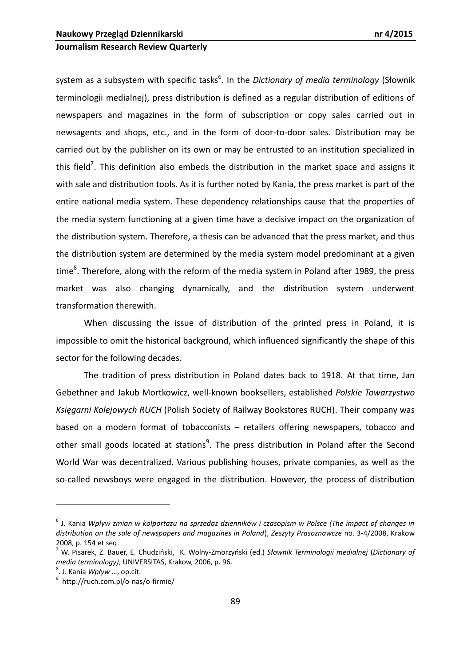system as a subsystem with specific tasks<sup>6</sup>. In the *Dictionary of media terminology* (Słownik terminologii medialnej), press distribution is defined as a regular distribution of editions of newspapers and magazines in the form of subscription or copy sales carried out in newsagents and shops, etc., and in the form of door-to-door sales. Distribution may be carried out by the publisher on its own or may be entrusted to an institution specialized in this field<sup>7</sup>. This definition also embeds the distribution in the market space and assigns it with sale and distribution tools. As it is further noted by Kania, the press market is part of the entire national media system. These dependency relationships cause that the properties of the media system functioning at a given time have a decisive impact on the organization of the distribution system. Therefore, a thesis can be advanced that the press market, and thus the distribution system are determined by the media system model predominant at a given time<sup>8</sup>. Therefore, along with the reform of the media system in Poland after 1989, the press market was also changing dynamically, and the distribution system underwent transformation therewith.

When discussing the issue of distribution of the printed press in Poland, it is impossible to omit the historical background, which influenced significantly the shape of this sector for the following decades.

The tradition of press distribution in Poland dates back to 1918. At that time, Jan Gebethner and Jakub Mortkowicz, well-known booksellers, established *Polskie Towarzystwo Księgarni Kolejowych RUCH* (Polish Society of Railway Bookstores RUCH). Their company was based on a modern format of tobacconists – retailers offering newspapers, tobacco and other small goods located at stations<sup>9</sup>. The press distribution in Poland after the Second World War was decentralized. Various publishing houses, private companies, as well as the so-called newsboys were engaged in the distribution. However, the process of distribution

<sup>6</sup> J. Kania *Wpływ zmian w kolportażu na sprzedaż dzienników i czasopism w Polsce (The impact of changes in distribution on the sale of newspapers and magazines in Poland*), *Zeszyty Prasoznawcze* no. 3-4/2008, Krakow 2008, p. 154 et seq.

<sup>&</sup>lt;sup>7</sup> W. Pisarek, Z. Bauer, E. Chudziński, K. Wolny-Zmorzyński (ed.) Słownik Terminologii medialnej (Dictionary of *media terminology)*, UNIVERSITAS, Krakow, 2006, p. 96.

<sup>8</sup> . J. Kania *Wpływ* …, op.cit.

<sup>9</sup> http://ruch.com.pl/o-nas/o-firmie/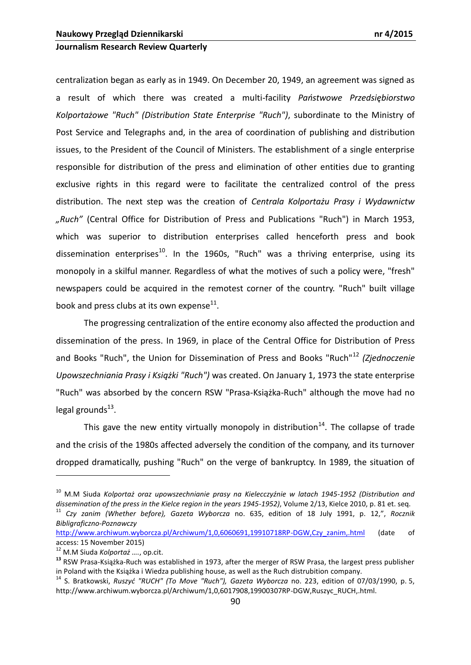centralization began as early as in 1949. On December 20, 1949, an agreement was signed as a result of which there was created a multi-facility Panstwowe Przedsiębiorstwo *Kolportażowe "Ruch" (Distribution State Enterprise "Ruch")*, subordinate to the Ministry of Post Service and Telegraphs and, in the area of coordination of publishing and distribution issues, to the President of the Council of Ministers. The establishment of a single enterprise responsible for distribution of the press and elimination of other entities due to granting exclusive rights in this regard were to facilitate the centralized control of the press distribution. The next step was the creation of *Centrala Kolportażu Prasy i Wydawnictw "Ruch"* (Central Office for Distribution of Press and Publications "Ruch") in March 1953, which was superior to distribution enterprises called henceforth press and book dissemination enterprises<sup>10</sup>. In the 1960s, "Ruch" was a thriving enterprise, using its monopoly in a skilful manner. Regardless of what the motives of such a policy were, "fresh" newspapers could be acquired in the remotest corner of the country. "Ruch" built village book and press clubs at its own expense<sup>11</sup>.

The progressing centralization of the entire economy also affected the production and dissemination of the press. In 1969, in place of the Central Office for Distribution of Press and Books "Ruch", the Union for Dissemination of Press and Books "Ruch"<sup>12</sup> *(Zjednoczenie Upowszechniania Prasy i Książki "Ruch")* was created. On January 1, 1973 the state enterprise "Ruch" was absorbed by the concern RSW "Prasa-Książka-Ruch" although the move had no legal grounds<sup>13</sup>.

This gave the new entity virtually monopoly in distribution<sup>14</sup>. The collapse of trade and the crisis of the 1980s affected adversely the condition of the company, and its turnover dropped dramatically, pushing "Ruch" on the verge of bankruptcy. In 1989, the situation of

<u>.</u>

<sup>10</sup> M.M Siuda *Kolportaż oraz upowszechnianie prasy na Kielecczyźnie w latach 1945-1952 (Distribution and dissemination of the press in the Kielce region in the years 1945-1952)*, Volume 2/13, Kielce 2010, p. 81 et. seq.

<sup>11</sup> *Czy zanim (Whether before), Gazeta Wyborcza* no. 635, edition of 18 July 1991, p. 12,", *Rocznik Bibligraficzno-Poznawczy*

[http://www.archiwum.wyborcza.pl/Archiwum/1,0,6060691,19910718RP-DGW,Czy\\_zanim,.html](http://www.archiwum.wyborcza.pl/Archiwum/1,0,6060691,19910718RP-DGW,Czy_zanim,.html) (date of access: 15 November 2015)

<sup>12</sup> M.M Siuda *Kolportaż ….*, op.cit.

**<sup>13</sup>** RSW Prasa-Książka-Ruch was established in 1973, after the merger of RSW Prasa, the largest press publisher in Poland with the Książka i Wiedza publishing house, as well as the Ruch distrubition company.

<sup>14</sup> S. Bratkowski, *Ruszyd "RUCH" (To Move "Ruch"), Gazeta Wyborcza* no. 223, edition of 07/03/1990, p. 5, http://www.archiwum.wyborcza.pl/Archiwum/1,0,6017908,19900307RP-DGW,Ruszyc\_RUCH,.html.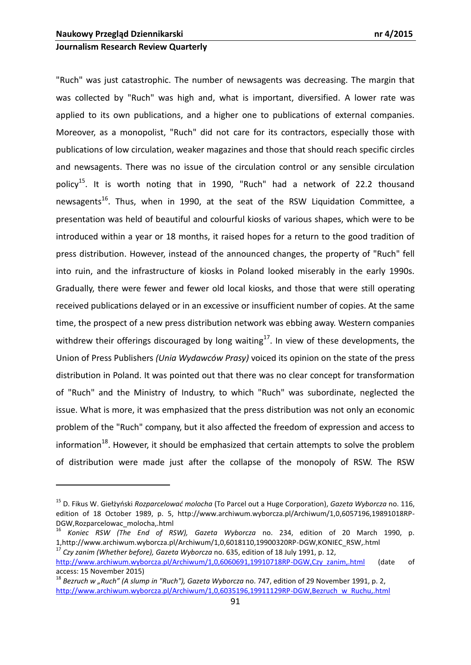1

## **Journalism Research Review Quarterly**

"Ruch" was just catastrophic. The number of newsagents was decreasing. The margin that was collected by "Ruch" was high and, what is important, diversified. A lower rate was applied to its own publications, and a higher one to publications of external companies. Moreover, as a monopolist, "Ruch" did not care for its contractors, especially those with publications of low circulation, weaker magazines and those that should reach specific circles and newsagents. There was no issue of the circulation control or any sensible circulation policy<sup>15</sup>. It is worth noting that in 1990, "Ruch" had a network of 22.2 thousand newsagents<sup>16</sup>. Thus, when in 1990, at the seat of the RSW Liquidation Committee, a presentation was held of beautiful and colourful kiosks of various shapes, which were to be introduced within a year or 18 months, it raised hopes for a return to the good tradition of press distribution. However, instead of the announced changes, the property of "Ruch" fell into ruin, and the infrastructure of kiosks in Poland looked miserably in the early 1990s. Gradually, there were fewer and fewer old local kiosks, and those that were still operating received publications delayed or in an excessive or insufficient number of copies. At the same time, the prospect of a new press distribution network was ebbing away. Western companies withdrew their offerings discouraged by long waiting<sup>17</sup>. In view of these developments, the Union of Press Publishers *(Unia Wydawców Prasy)* voiced its opinion on the state of the press distribution in Poland. It was pointed out that there was no clear concept for transformation of "Ruch" and the Ministry of Industry, to which "Ruch" was subordinate, neglected the issue. What is more, it was emphasized that the press distribution was not only an economic problem of the "Ruch" company, but it also affected the freedom of expression and access to information<sup>18</sup>. However, it should be emphasized that certain attempts to solve the problem of distribution were made just after the collapse of the monopoly of RSW. The RSW

<sup>17</sup> *Czy zanim (Whether before), Gazeta Wyborcza* no. 635, edition of 18 July 1991, p. 12, [http://www.archiwum.wyborcza.pl/Archiwum/1,0,6060691,19910718RP-DGW,Czy\\_zanim,.html](http://www.archiwum.wyborcza.pl/Archiwum/1,0,6060691,19910718RP-DGW,Czy_zanim,.html) (date of access: 15 November 2015)

<sup>15</sup> D. Fikus W. Giełżyoski *Rozparcelowad molocha* (To Parcel out a Huge Corporation), *Gazeta Wyborcza* no. 116, edition of 18 October 1989, p. 5, http://www.archiwum.wyborcza.pl/Archiwum/1,0,6057196,19891018RP-DGW,Rozparcelowac\_molocha,.html

<sup>16</sup> *Koniec RSW (The End of RSW), Gazeta Wyborcza* no. 234, edition of 20 March 1990, p. 1,http://www.archiwum.wyborcza.pl/Archiwum/1,0,6018110,19900320RP-DGW,KONIEC\_RSW,.html

<sup>&</sup>lt;sup>18</sup> Bezruch w "Ruch" (A slump in "Ruch"), Gazeta Wyborcza no. 747, edition of 29 November 1991, p. 2, [http://www.archiwum.wyborcza.pl/Archiwum/1,0,6035196,19911129RP-DGW,Bezruch\\_w\\_Ruchu,.html](http://www.archiwum.wyborcza.pl/Archiwum/1,0,6035196,19911129RP-DGW,Bezruch_w_Ruchu,.html)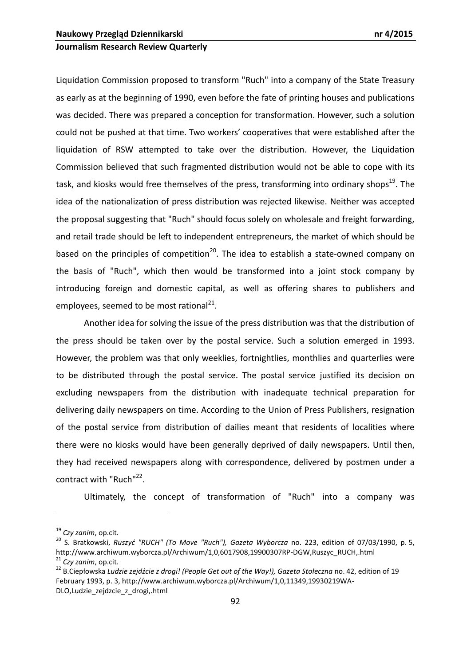Liquidation Commission proposed to transform "Ruch" into a company of the State Treasury as early as at the beginning of 1990, even before the fate of printing houses and publications was decided. There was prepared a conception for transformation. However, such a solution could not be pushed at that time. Two workers' cooperatives that were established after the liquidation of RSW attempted to take over the distribution. However, the Liquidation Commission believed that such fragmented distribution would not be able to cope with its task, and kiosks would free themselves of the press, transforming into ordinary shops<sup>19</sup>. The idea of the nationalization of press distribution was rejected likewise. Neither was accepted the proposal suggesting that "Ruch" should focus solely on wholesale and freight forwarding, and retail trade should be left to independent entrepreneurs, the market of which should be based on the principles of competition<sup>20</sup>. The idea to establish a state-owned company on the basis of "Ruch", which then would be transformed into a joint stock company by introducing foreign and domestic capital, as well as offering shares to publishers and employees, seemed to be most rational<sup>21</sup>.

Another idea for solving the issue of the press distribution was that the distribution of the press should be taken over by the postal service. Such a solution emerged in 1993. However, the problem was that only weeklies, fortnightlies, monthlies and quarterlies were to be distributed through the postal service. The postal service justified its decision on excluding newspapers from the distribution with inadequate technical preparation for delivering daily newspapers on time. According to the Union of Press Publishers, resignation of the postal service from distribution of dailies meant that residents of localities where there were no kiosks would have been generally deprived of daily newspapers. Until then, they had received newspapers along with correspondence, delivered by postmen under a contract with "Ruch"<sup>22</sup>.

Ultimately, the concept of transformation of "Ruch" into a company was

<sup>19</sup> *Czy zanim*, op.cit.

<sup>20</sup> S. Bratkowski, *Ruszyd "RUCH" (To Move "Ruch"), Gazeta Wyborcza* no. 223, edition of 07/03/1990, p. 5, http://www.archiwum.wyborcza.pl/Archiwum/1,0,6017908,19900307RP-DGW,Ruszyc\_RUCH,.html <sup>21</sup> *Czy zanim*, op.cit.

<sup>22</sup> B.Ciepłowska *Ludzie zejdźcie z drogi! (People Get out of the Way!), Gazeta Stołeczna* no. 42, edition of 19 February 1993, p. 3, http://www.archiwum.wyborcza.pl/Archiwum/1,0,11349,19930219WA-DLO,Ludzie\_zejdzcie\_z\_drogi,.html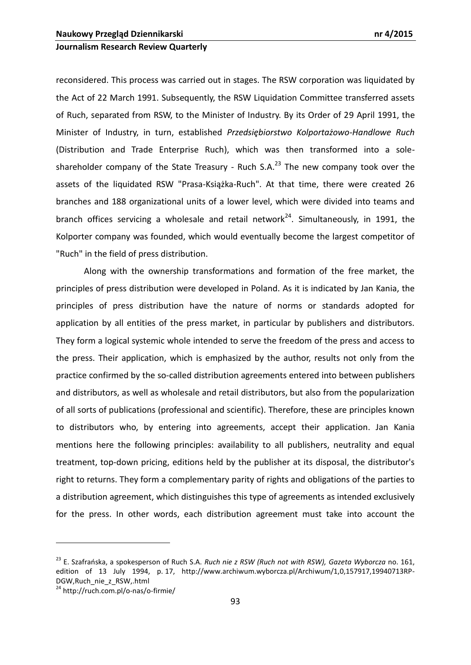reconsidered. This process was carried out in stages. The RSW corporation was liquidated by the Act of 22 March 1991. Subsequently, the RSW Liquidation Committee transferred assets of Ruch, separated from RSW, to the Minister of Industry. By its Order of 29 April 1991, the Minister of Industry, in turn, established *Przedsiębiorstwo Kolportażowo-Handlowe Ruch* (Distribution and Trade Enterprise Ruch), which was then transformed into a soleshareholder company of the State Treasury - Ruch  $S.A.^{23}$  The new company took over the assets of the liquidated RSW "Prasa-Książka-Ruch". At that time, there were created 26 branches and 188 organizational units of a lower level, which were divided into teams and branch offices servicing a wholesale and retail network<sup>24</sup>. Simultaneously, in 1991, the Kolporter company was founded, which would eventually become the largest competitor of "Ruch" in the field of press distribution.

Along with the ownership transformations and formation of the free market, the principles of press distribution were developed in Poland. As it is indicated by Jan Kania, the principles of press distribution have the nature of norms or standards adopted for application by all entities of the press market, in particular by publishers and distributors. They form a logical systemic whole intended to serve the freedom of the press and access to the press. Their application, which is emphasized by the author, results not only from the practice confirmed by the so-called distribution agreements entered into between publishers and distributors, as well as wholesale and retail distributors, but also from the popularization of all sorts of publications (professional and scientific). Therefore, these are principles known to distributors who, by entering into agreements, accept their application. Jan Kania mentions here the following principles: availability to all publishers, neutrality and equal treatment, top-down pricing, editions held by the publisher at its disposal, the distributor's right to returns. They form a complementary parity of rights and obligations of the parties to a distribution agreement, which distinguishes this type of agreements as intended exclusively for the press. In other words, each distribution agreement must take into account the

<u>.</u>

<sup>&</sup>lt;sup>23</sup> E. Szafrańska, a spokesperson of Ruch S.A. *Ruch nie z RSW (Ruch not with RSW), Gazeta Wyborcza* no. 161, edition of 13 July 1994, p. 17, http://www.archiwum.wyborcza.pl/Archiwum/1,0,157917,19940713RP-DGW,Ruch\_nie\_z\_RSW,.html

<sup>24</sup> http://ruch.com.pl/o-nas/o-firmie/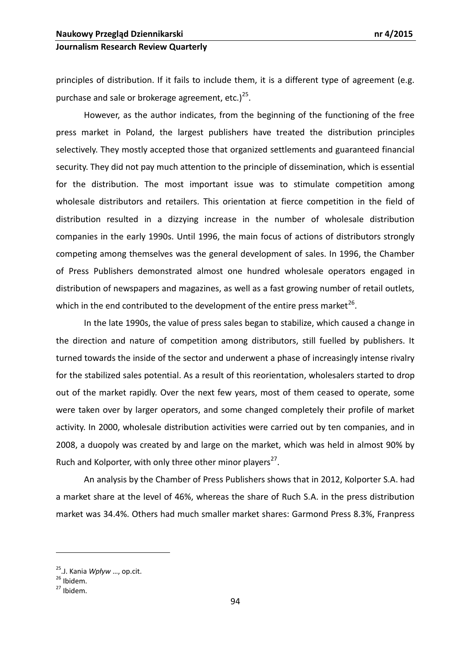principles of distribution. If it fails to include them, it is a different type of agreement (e.g. purchase and sale or brokerage agreement, etc.) $^{25}$ .

However, as the author indicates, from the beginning of the functioning of the free press market in Poland, the largest publishers have treated the distribution principles selectively. They mostly accepted those that organized settlements and guaranteed financial security. They did not pay much attention to the principle of dissemination, which is essential for the distribution. The most important issue was to stimulate competition among wholesale distributors and retailers. This orientation at fierce competition in the field of distribution resulted in a dizzying increase in the number of wholesale distribution companies in the early 1990s. Until 1996, the main focus of actions of distributors strongly competing among themselves was the general development of sales. In 1996, the Chamber of Press Publishers demonstrated almost one hundred wholesale operators engaged in distribution of newspapers and magazines, as well as a fast growing number of retail outlets, which in the end contributed to the development of the entire press market<sup>26</sup>.

In the late 1990s, the value of press sales began to stabilize, which caused a change in the direction and nature of competition among distributors, still fuelled by publishers. It turned towards the inside of the sector and underwent a phase of increasingly intense rivalry for the stabilized sales potential. As a result of this reorientation, wholesalers started to drop out of the market rapidly. Over the next few years, most of them ceased to operate, some were taken over by larger operators, and some changed completely their profile of market activity. In 2000, wholesale distribution activities were carried out by ten companies, and in 2008, a duopoly was created by and large on the market, which was held in almost 90% by Ruch and Kolporter, with only three other minor players<sup>27</sup>.

An analysis by the Chamber of Press Publishers shows that in 2012, Kolporter S.A. had a market share at the level of 46%, whereas the share of Ruch S.A. in the press distribution market was 34.4%. Others had much smaller market shares: Garmond Press 8.3%, Franpress

<sup>25</sup>.J. Kania *Wpływ* …, op.cit.

 $26$  Ibidem.

 $27$  Ibidem.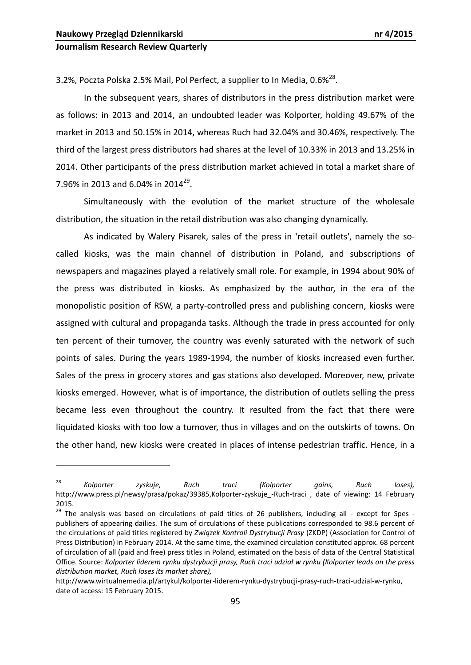1

## **Journalism Research Review Quarterly**

3.2%, Poczta Polska 2.5% Mail, Pol Perfect, a supplier to In Media, 0.6% $^{28}$ .

In the subsequent years, shares of distributors in the press distribution market were as follows: in 2013 and 2014, an undoubted leader was Kolporter, holding 49.67% of the market in 2013 and 50.15% in 2014, whereas Ruch had 32.04% and 30.46%, respectively. The third of the largest press distributors had shares at the level of 10.33% in 2013 and 13.25% in 2014. Other participants of the press distribution market achieved in total a market share of 7.96% in 2013 and 6.04% in 2014<sup>29</sup>.

Simultaneously with the evolution of the market structure of the wholesale distribution, the situation in the retail distribution was also changing dynamically.

As indicated by Walery Pisarek, sales of the press in 'retail outlets', namely the socalled kiosks, was the main channel of distribution in Poland, and subscriptions of newspapers and magazines played a relatively small role. For example, in 1994 about 90% of the press was distributed in kiosks. As emphasized by the author, in the era of the monopolistic position of RSW, a party-controlled press and publishing concern, kiosks were assigned with cultural and propaganda tasks. Although the trade in press accounted for only ten percent of their turnover, the country was evenly saturated with the network of such points of sales. During the years 1989-1994, the number of kiosks increased even further. Sales of the press in grocery stores and gas stations also developed. Moreover, new, private kiosks emerged. However, what is of importance, the distribution of outlets selling the press became less even throughout the country. It resulted from the fact that there were liquidated kiosks with too low a turnover, thus in villages and on the outskirts of towns. On the other hand, new kiosks were created in places of intense pedestrian traffic. Hence, in a

<sup>28</sup> *Kolporter zyskuje, Ruch traci (Kolporter gains, Ruch loses),* http://www.press.pl/newsy/prasa/pokaz/39385,Kolporter-zyskuje\_-Ruch-traci , date of viewing: 14 February 2015.

<sup>&</sup>lt;sup>29</sup> The analysis was based on circulations of paid titles of 26 publishers, including all - except for Spes publishers of appearing dailies. The sum of circulations of these publications corresponded to 98.6 percent of the circulations of paid titles registered by *Związek Kontroli Dystrybucji Prasy* (ZKDP) (Association for Control of Press Distribution) in February 2014. At the same time, the examined circulation constituted approx. 68 percent of circulation of all (paid and free) press titles in Poland, estimated on the basis of data of the Central Statistical Office. Source: *Kolporter liderem rynku dystrybucji prasy, Ruch traci udział w rynku (Kolporter leads on the press distribution market, Ruch loses its market share),*

[http://www.wirtualnemedia.pl/artykul/kolporter](http://www.wirtualnemedia.pl/artykul/kolporter-liderem-rynku-dystrybucji-prasy-ruch-traci-udzial-w-rynku)-liderem-rynku-dystrybucji-prasy-ruch-traci-udzial-w-rynku, date of access: 15 February 2015.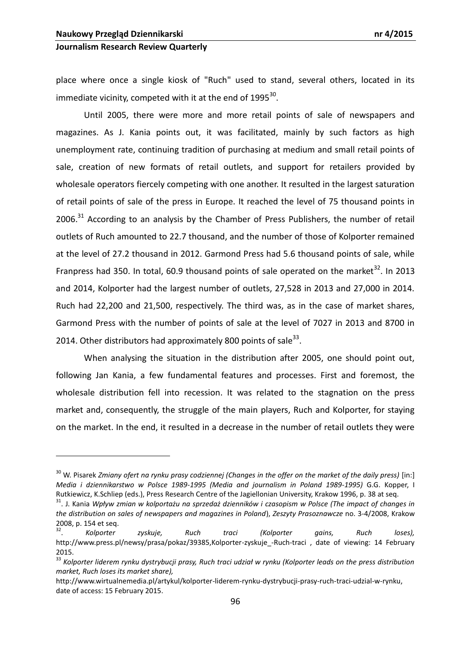## **Journalism Research Review Quarterly**

place where once a single kiosk of "Ruch" used to stand, several others, located in its immediate vicinity, competed with it at the end of  $1995^{30}$ .

Until 2005, there were more and more retail points of sale of newspapers and magazines. As J. Kania points out, it was facilitated, mainly by such factors as high unemployment rate, continuing tradition of purchasing at medium and small retail points of sale, creation of new formats of retail outlets, and support for retailers provided by wholesale operators fiercely competing with one another. It resulted in the largest saturation of retail points of sale of the press in Europe. It reached the level of 75 thousand points in  $2006$ <sup>31</sup> According to an analysis by the Chamber of Press Publishers, the number of retail outlets of Ruch amounted to 22.7 thousand, and the number of those of Kolporter remained at the level of 27.2 thousand in 2012. Garmond Press had 5.6 thousand points of sale, while Franpress had 350. In total, 60.9 thousand points of sale operated on the market<sup>32</sup>. In 2013 and 2014, Kolporter had the largest number of outlets, 27,528 in 2013 and 27,000 in 2014. Ruch had 22,200 and 21,500, respectively. The third was, as in the case of market shares, Garmond Press with the number of points of sale at the level of 7027 in 2013 and 8700 in 2014. Other distributors had approximately 800 points of sale $^{33}$ .

When analysing the situation in the distribution after 2005, one should point out, following Jan Kania, a few fundamental features and processes. First and foremost, the wholesale distribution fell into recession. It was related to the stagnation on the press market and, consequently, the struggle of the main players, Ruch and Kolporter, for staying on the market. In the end, it resulted in a decrease in the number of retail outlets they were

<sup>&</sup>lt;sup>30</sup> W. Pisarek *Zmiany ofert na rynku prasy codziennej (Changes in the offer on the market of the daily press) [in:] Media i dziennikarstwo w Polsce 1989-1995 (Media and journalism in Poland 1989-1995)* G.G. Kopper, I Rutkiewicz, K.Schliep (eds.), Press Research Centre of the Jagiellonian University, Krakow 1996, p. 38 at seq.

<sup>31</sup>. J. Kania *Wpływ zmian w kolportażu na sprzedaż dzienników i czasopism w Polsce (The impact of changes in the distribution on sales of newspapers and magazines in Poland*), *Zeszyty Prasoznawcze* no. 3-4/2008, Krakow 2008, p. 154 et seq.

<sup>32</sup> . *Kolporter zyskuje, Ruch traci (Kolporter gains, Ruch loses),* http://www.press.pl/newsy/prasa/pokaz/39385,Kolporter-zyskuje -Ruch-traci , date of viewing: 14 February 2015.

<sup>&</sup>lt;sup>33</sup> Kolporter liderem rynku dystrybucji prasy, Ruch traci udział w rynku (Kolporter leads on the press distribution *market, Ruch loses its market share),*

[http://www.wirtualnemedia.pl/artykul/kolporter](http://www.wirtualnemedia.pl/artykul/kolporter-liderem-rynku-dystrybucji-prasy-ruch-traci-udzial-w-rynku)-liderem-rynku-dystrybucji-prasy-ruch-traci-udzial-w-rynku, date of access: 15 February 2015.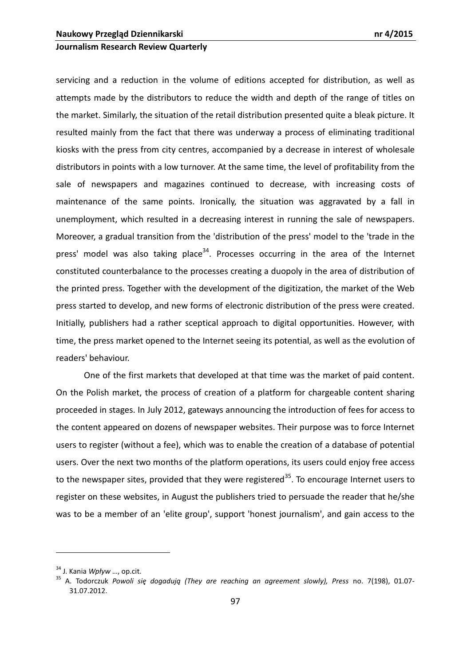servicing and a reduction in the volume of editions accepted for distribution, as well as attempts made by the distributors to reduce the width and depth of the range of titles on the market. Similarly, the situation of the retail distribution presented quite a bleak picture. It resulted mainly from the fact that there was underway a process of eliminating traditional kiosks with the press from city centres, accompanied by a decrease in interest of wholesale distributors in points with a low turnover. At the same time, the level of profitability from the sale of newspapers and magazines continued to decrease, with increasing costs of maintenance of the same points. Ironically, the situation was aggravated by a fall in unemployment, which resulted in a decreasing interest in running the sale of newspapers. Moreover, a gradual transition from the 'distribution of the press' model to the 'trade in the press' model was also taking place<sup>34</sup>. Processes occurring in the area of the Internet constituted counterbalance to the processes creating a duopoly in the area of distribution of the printed press. Together with the development of the digitization, the market of the Web press started to develop, and new forms of electronic distribution of the press were created. Initially, publishers had a rather sceptical approach to digital opportunities. However, with time, the press market opened to the Internet seeing its potential, as well as the evolution of readers' behaviour.

One of the first markets that developed at that time was the market of paid content. On the Polish market, the process of creation of a platform for chargeable content sharing proceeded in stages. In July 2012, gateways announcing the introduction of fees for access to the content appeared on dozens of newspaper websites. Their purpose was to force Internet users to register (without a fee), which was to enable the creation of a database of potential users. Over the next two months of the platform operations, its users could enjoy free access to the newspaper sites, provided that they were registered<sup>35</sup>. To encourage Internet users to register on these websites, in August the publishers tried to persuade the reader that he/she was to be a member of an 'elite group', support 'honest journalism', and gain access to the

<sup>34</sup> J. Kania *Wpływ* …, op.cit.

<sup>35</sup> A. Todorczuk *Powoli się dogadują (They are reaching an agreement slowly), Press* no. 7(198), 01.07- 31.07.2012.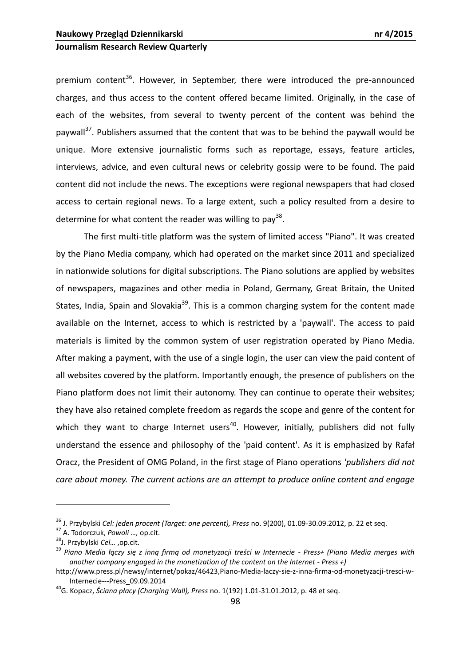premium content<sup>36</sup>. However, in September, there were introduced the pre-announced charges, and thus access to the content offered became limited. Originally, in the case of each of the websites, from several to twenty percent of the content was behind the paywall<sup>37</sup>. Publishers assumed that the content that was to be behind the paywall would be unique. More extensive journalistic forms such as reportage, essays, feature articles, interviews, advice, and even cultural news or celebrity gossip were to be found. The paid content did not include the news. The exceptions were regional newspapers that had closed access to certain regional news. To a large extent, such a policy resulted from a desire to determine for what content the reader was willing to pay<sup>38</sup>.

The first multi-title platform was the system of limited access "Piano". It was created by the Piano Media company, which had operated on the market since 2011 and specialized in nationwide solutions for digital subscriptions. The Piano solutions are applied by websites of newspapers, magazines and other media in Poland, Germany, Great Britain, the United States, India, Spain and Slovakia<sup>39</sup>. This is a common charging system for the content made available on the Internet, access to which is restricted by a 'paywall'. The access to paid materials is limited by the common system of user registration operated by Piano Media. After making a payment, with the use of a single login, the user can view the paid content of all websites covered by the platform. Importantly enough, the presence of publishers on the Piano platform does not limit their autonomy. They can continue to operate their websites; they have also retained complete freedom as regards the scope and genre of the content for which they want to charge Internet users<sup>40</sup>. However, initially, publishers did not fully understand the essence and philosophy of the 'paid content'. As it is emphasized by Rafał Oracz, the President of OMG Poland, in the first stage of Piano operations *'publishers did not care about money. The current actions are an attempt to produce online content and engage* 

<sup>36</sup> J. Przybylski *Cel: jeden procent (Target: one percent), Press* no. 9(200), 01.09-30.09.2012, p. 22 et seq.

<sup>37</sup> A. Todorczuk, *Powoli …,* op.cit.

<sup>38</sup>J. Przybylski *Cel…* ,op.cit.

<sup>39</sup> *Piano Media łączy się z inną firmą od monetyzacji treści w Internecie - Press+ (Piano Media merges with another company engaged in the monetization of the content on the Internet - Press +)* 

http://www.press.pl/newsy/internet/pokaz/46423,Piano-Media-laczy-sie-z-inna-firma-od-monetyzacji-tresci-w-Internecie---Press\_09.09.2014

<sup>40</sup>G. Kopacz, *Ściana płacy (Charging Wall), Press* no. 1(192) 1.01-31.01.2012, p. 48 et seq.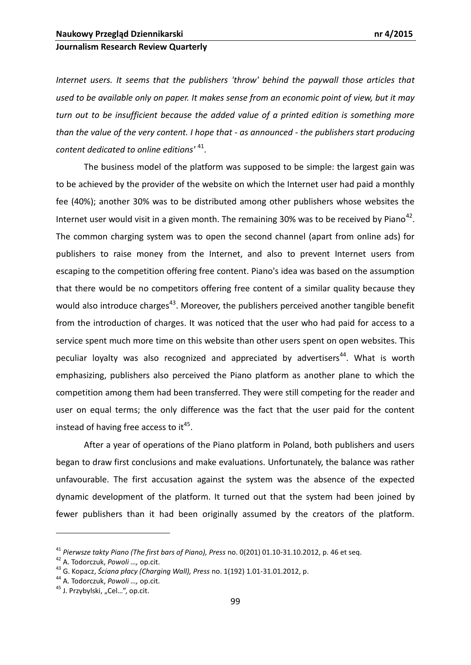*Internet users. It seems that the publishers 'throw' behind the paywall those articles that used to be available only on paper. It makes sense from an economic point of view, but it may turn out to be insufficient because the added value of a printed edition is something more than the value of the very content. I hope that - as announced - the publishers start producing content dedicated to online editions'* <sup>41</sup> .

The business model of the platform was supposed to be simple: the largest gain was to be achieved by the provider of the website on which the Internet user had paid a monthly fee (40%); another 30% was to be distributed among other publishers whose websites the Internet user would visit in a given month. The remaining 30% was to be received by Piano<sup>42</sup>. The common charging system was to open the second channel (apart from online ads) for publishers to raise money from the Internet, and also to prevent Internet users from escaping to the competition offering free content. Piano's idea was based on the assumption that there would be no competitors offering free content of a similar quality because they would also introduce charges<sup>43</sup>. Moreover, the publishers perceived another tangible benefit from the introduction of charges. It was noticed that the user who had paid for access to a service spent much more time on this website than other users spent on open websites. This peculiar loyalty was also recognized and appreciated by advertisers<sup>44</sup>. What is worth emphasizing, publishers also perceived the Piano platform as another plane to which the competition among them had been transferred. They were still competing for the reader and user on equal terms; the only difference was the fact that the user paid for the content instead of having free access to it<sup>45</sup>.

After a year of operations of the Piano platform in Poland, both publishers and users began to draw first conclusions and make evaluations. Unfortunately, the balance was rather unfavourable. The first accusation against the system was the absence of the expected dynamic development of the platform. It turned out that the system had been joined by fewer publishers than it had been originally assumed by the creators of the platform.

<sup>41</sup> *Pierwsze takty Piano (The first bars of Piano), Press* no. 0(201) 01.10-31.10.2012, p. 46 et seq.

<sup>42</sup> A. Todorczuk, *Powoli …,* op.cit.

<sup>43</sup> G. Kopacz, *Ściana płacy (Charging Wall), Press* no. 1(192) 1.01-31.01.2012, p.

<sup>44</sup> A. Todorczuk, *Powoli …,* op.cit.

<sup>&</sup>lt;sup>45</sup> J. Przybylski, "Cel...", op.cit.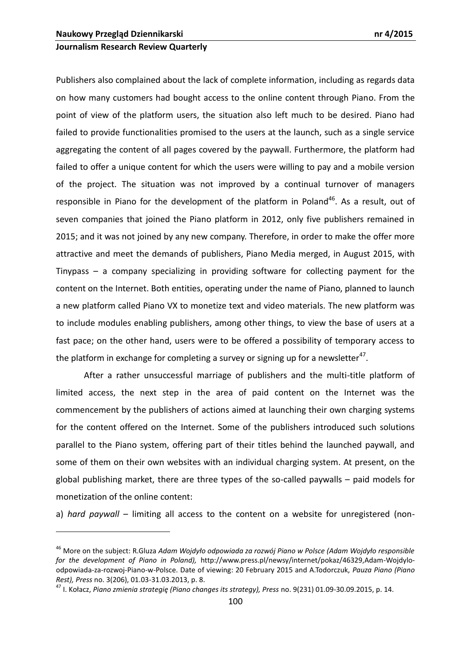1

## **Journalism Research Review Quarterly**

Publishers also complained about the lack of complete information, including as regards data on how many customers had bought access to the online content through Piano. From the point of view of the platform users, the situation also left much to be desired. Piano had failed to provide functionalities promised to the users at the launch, such as a single service aggregating the content of all pages covered by the paywall. Furthermore, the platform had failed to offer a unique content for which the users were willing to pay and a mobile version of the project. The situation was not improved by a continual turnover of managers responsible in Piano for the development of the platform in Poland<sup>46</sup>. As a result, out of seven companies that joined the Piano platform in 2012, only five publishers remained in 2015; and it was not joined by any new company. Therefore, in order to make the offer more attractive and meet the demands of publishers, Piano Media merged, in August 2015, with Tinypass – a company specializing in providing software for collecting payment for the content on the Internet. Both entities, operating under the name of Piano, planned to launch a new platform called Piano VX to monetize text and video materials. The new platform was to include modules enabling publishers, among other things, to view the base of users at a fast pace; on the other hand, users were to be offered a possibility of temporary access to the platform in exchange for completing a survey or signing up for a newsletter<sup>47</sup>.

After a rather unsuccessful marriage of publishers and the multi-title platform of limited access, the next step in the area of paid content on the Internet was the commencement by the publishers of actions aimed at launching their own charging systems for the content offered on the Internet. Some of the publishers introduced such solutions parallel to the Piano system, offering part of their titles behind the launched paywall, and some of them on their own websites with an individual charging system. At present, on the global publishing market, there are three types of the so-called paywalls – paid models for monetization of the online content:

a) *hard paywall* – limiting all access to the content on a website for unregistered (non-

<sup>46</sup> More on the subject: R.Gluza *Adam Wojdyło odpowiada za rozwój Piano w Polsce (Adam Wojdyło responsible for the development of Piano in Poland),* [http://www.press.pl/newsy/internet/pokaz/46329,Adam](http://www.press.pl/newsy/internet/pokaz/46329,Adam-Wojdylo-odpowiada-za-rozwoj-Piano-w-Polsce)-Wojdylo[odpowiada](http://www.press.pl/newsy/internet/pokaz/46329,Adam-Wojdylo-odpowiada-za-rozwoj-Piano-w-Polsce)-za-rozwoj-Piano-w-Polsce. Date of viewing: 20 February 2015 and A.Todorczuk, *Pauza Piano (Piano Rest), Press* no. 3(206), 01.03-31.03.2013, p. 8.

<sup>47</sup> I. Kołacz, *Piano zmienia strategię (Piano changes its strategy), Press* no. 9(231) 01.09-30.09.2015, p. 14.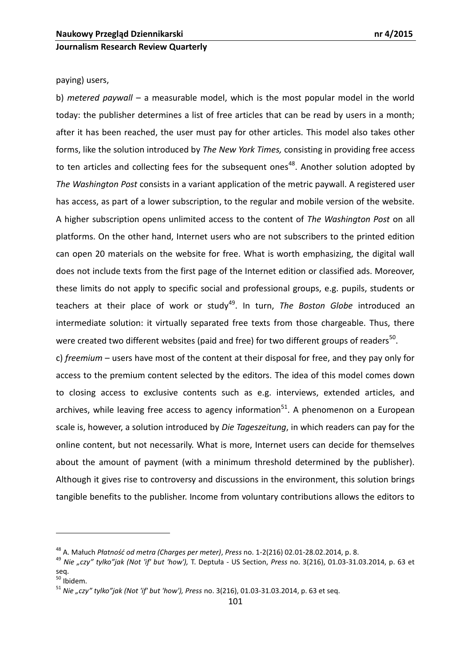paying) users,

b) *metered paywall* – a measurable model, which is the most popular model in the world today: the publisher determines a list of free articles that can be read by users in a month; after it has been reached, the user must pay for other articles. This model also takes other forms, like the solution introduced by *The New York Times,* consisting in providing free access to ten articles and collecting fees for the subsequent ones<sup>48</sup>. Another solution adopted by *The Washington Post* consists in a variant application of the metric paywall. A registered user has access, as part of a lower subscription, to the regular and mobile version of the website. A higher subscription opens unlimited access to the content of *The Washington Post* on all platforms. On the other hand, Internet users who are not subscribers to the printed edition can open 20 materials on the website for free. What is worth emphasizing, the digital wall does not include texts from the first page of the Internet edition or classified ads. Moreover, these limits do not apply to specific social and professional groups, e.g. pupils, students or teachers at their place of work or study<sup>49</sup>. In turn, *The Boston Globe* introduced an intermediate solution: it virtually separated free texts from those chargeable. Thus, there were created two different websites (paid and free) for two different groups of readers<sup>50</sup>.

c) *freemium* – users have most of the content at their disposal for free, and they pay only for access to the premium content selected by the editors. The idea of this model comes down to closing access to exclusive contents such as e.g. interviews, extended articles, and archives, while leaving free access to agency information<sup>51</sup>. A phenomenon on a European scale is, however, a solution introduced by *Die Tageszeitung*, in which readers can pay for the online content, but not necessarily. What is more, Internet users can decide for themselves about the amount of payment (with a minimum threshold determined by the publisher). Although it gives rise to controversy and discussions in the environment, this solution brings tangible benefits to the publisher. Income from voluntary contributions allows the editors to

<sup>48</sup> A. Małuch *Płatnośd od metra (Charges per meter)*, *Press* no. 1-2(216) 02.01-28.02.2014, p. 8.

<sup>49</sup> *Nie "czy" tylko"jak (Not 'if' but 'how'),* T. Deptuła - US Section, *Press* no. 3(216), 01.03-31.03.2014, p. 63 et seq.

 $50$  Ibidem.

<sup>51</sup> *Nie "czy" tylko"jak (Not 'if' but 'how'), Press* no. 3(216), 01.03-31.03.2014, p. 63 et seq.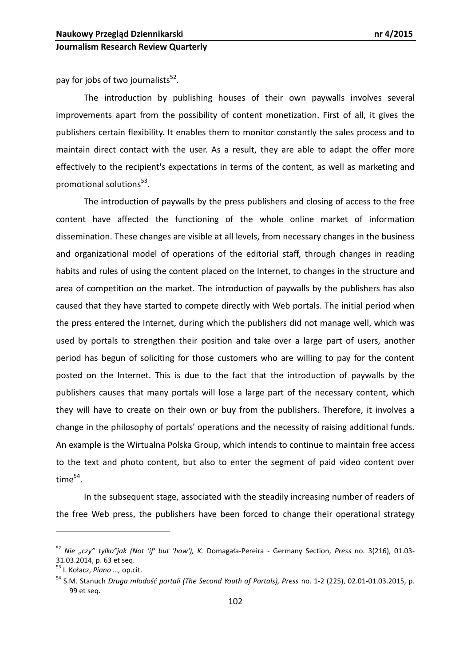pay for jobs of two journalists<sup>52</sup>.

The introduction by publishing houses of their own paywalls involves several improvements apart from the possibility of content monetization. First of all, it gives the publishers certain flexibility. It enables them to monitor constantly the sales process and to maintain direct contact with the user. As a result, they are able to adapt the offer more effectively to the recipient's expectations in terms of the content, as well as marketing and promotional solutions<sup>53</sup>.

The introduction of paywalls by the press publishers and closing of access to the free content have affected the functioning of the whole online market of information dissemination. These changes are visible at all levels, from necessary changes in the business and organizational model of operations of the editorial staff, through changes in reading habits and rules of using the content placed on the Internet, to changes in the structure and area of competition on the market. The introduction of paywalls by the publishers has also caused that they have started to compete directly with Web portals. The initial period when the press entered the Internet, during which the publishers did not manage well, which was used by portals to strengthen their position and take over a large part of users, another period has begun of soliciting for those customers who are willing to pay for the content posted on the Internet. This is due to the fact that the introduction of paywalls by the publishers causes that many portals will lose a large part of the necessary content, which they will have to create on their own or buy from the publishers. Therefore, it involves a change in the philosophy of portals' operations and the necessity of raising additional funds. An example is the Wirtualna Polska Group, which intends to continue to maintain free access to the text and photo content, but also to enter the segment of paid video content over  $time^{54}$ .

In the subsequent stage, associated with the steadily increasing number of readers of the free Web press, the publishers have been forced to change their operational strategy

<sup>52</sup> *Nie "czy" tylko"jak (Not 'if' but 'how'), K.* Domagała-Pereira - Germany Section, *Press* no. 3(216), 01.03- 31.03.2014, p. 63 et seq.

<sup>53</sup> I. Kołacz, *Piano …,* op.cit.

<sup>&</sup>lt;sup>54</sup> S.M. Stanuch *Druga młodość portali (The Second Youth of Portals), Press* no. 1-2 (225), 02.01-01.03.2015, p. 99 et seq.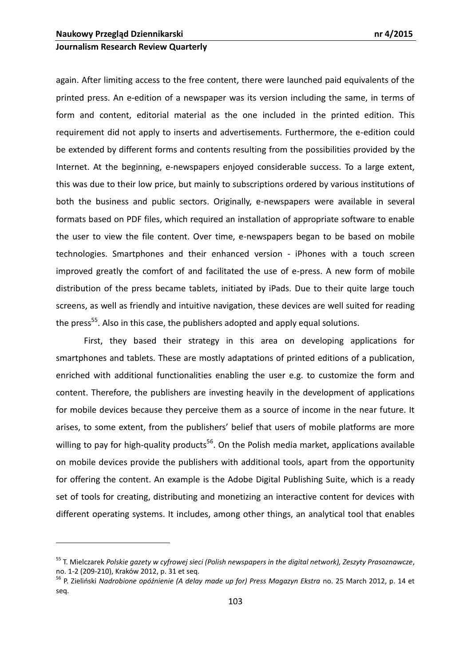## **Journalism Research Review Quarterly**

again. After limiting access to the free content, there were launched paid equivalents of the printed press. An e-edition of a newspaper was its version including the same, in terms of form and content, editorial material as the one included in the printed edition. This requirement did not apply to inserts and advertisements. Furthermore, the e-edition could be extended by different forms and contents resulting from the possibilities provided by the Internet. At the beginning, e-newspapers enjoyed considerable success. To a large extent, this was due to their low price, but mainly to subscriptions ordered by various institutions of both the business and public sectors. Originally, e-newspapers were available in several formats based on PDF files, which required an installation of appropriate software to enable the user to view the file content. Over time, e-newspapers began to be based on mobile technologies. Smartphones and their enhanced version - iPhones with a touch screen improved greatly the comfort of and facilitated the use of e-press. A new form of mobile distribution of the press became tablets, initiated by iPads. Due to their quite large touch screens, as well as friendly and intuitive navigation, these devices are well suited for reading the press<sup>55</sup>. Also in this case, the publishers adopted and apply equal solutions.

First, they based their strategy in this area on developing applications for smartphones and tablets. These are mostly adaptations of printed editions of a publication, enriched with additional functionalities enabling the user e.g. to customize the form and content. Therefore, the publishers are investing heavily in the development of applications for mobile devices because they perceive them as a source of income in the near future. It arises, to some extent, from the publishers' belief that users of mobile platforms are more willing to pay for high-quality products<sup>56</sup>. On the Polish media market, applications available on mobile devices provide the publishers with additional tools, apart from the opportunity for offering the content. An example is the Adobe Digital Publishing Suite, which is a ready set of tools for creating, distributing and monetizing an interactive content for devices with different operating systems. It includes, among other things, an analytical tool that enables

<sup>55</sup> T. Mielczarek *Polskie gazety w cyfrowej sieci (Polish newspapers in the digital network), Zeszyty Prasoznawcze*, no. 1-2 (209-210), Kraków 2012, p. 31 et seq.

<sup>&</sup>lt;sup>56</sup> P. Zieliński Nadrobione opóźnienie (A delay made up for) Press Magazyn Ekstra no. 25 March 2012, p. 14 et seq.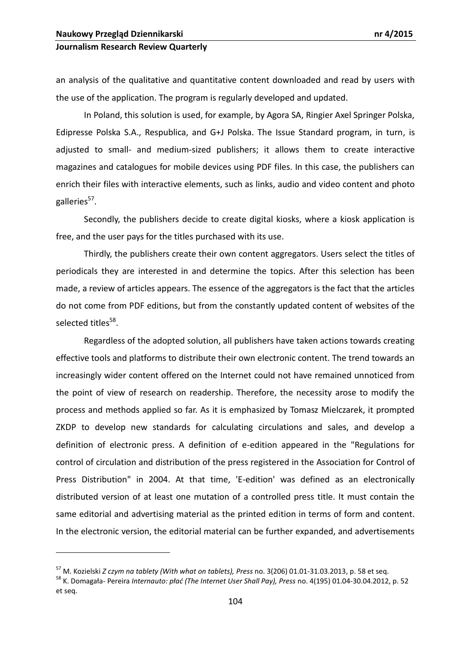1

## **Journalism Research Review Quarterly**

an analysis of the qualitative and quantitative content downloaded and read by users with the use of the application. The program is regularly developed and updated.

In Poland, this solution is used, for example, by Agora SA, Ringier Axel Springer Polska, Edipresse Polska S.A., Respublica, and G+J Polska. The Issue Standard program, in turn, is adjusted to small- and medium-sized publishers; it allows them to create interactive magazines and catalogues for mobile devices using PDF files. In this case, the publishers can enrich their files with interactive elements, such as links, audio and video content and photo galleries<sup>57</sup>.

Secondly, the publishers decide to create digital kiosks, where a kiosk application is free, and the user pays for the titles purchased with its use.

Thirdly, the publishers create their own content aggregators. Users select the titles of periodicals they are interested in and determine the topics. After this selection has been made, a review of articles appears. The essence of the aggregators is the fact that the articles do not come from PDF editions, but from the constantly updated content of websites of the selected titles<sup>58</sup>.

Regardless of the adopted solution, all publishers have taken actions towards creating effective tools and platforms to distribute their own electronic content. The trend towards an increasingly wider content offered on the Internet could not have remained unnoticed from the point of view of research on readership. Therefore, the necessity arose to modify the process and methods applied so far. As it is emphasized by Tomasz Mielczarek, it prompted ZKDP to develop new standards for calculating circulations and sales, and develop a definition of electronic press. A definition of e-edition appeared in the "Regulations for control of circulation and distribution of the press registered in the Association for Control of Press Distribution" in 2004. At that time, 'E-edition' was defined as an electronically distributed version of at least one mutation of a controlled press title. It must contain the same editorial and advertising material as the printed edition in terms of form and content. In the electronic version, the editorial material can be further expanded, and advertisements

<sup>57</sup> M. Kozielski *Z czym na tablety (With what on tablets), Press* no. 3(206) 01.01-31.03.2013, p. 58 et seq.

<sup>58</sup> K. Domagała- Pereira *Internauto: pład (The Internet User Shall Pay), Press* no. 4(195) 01.04-30.04.2012, p. 52 et seq.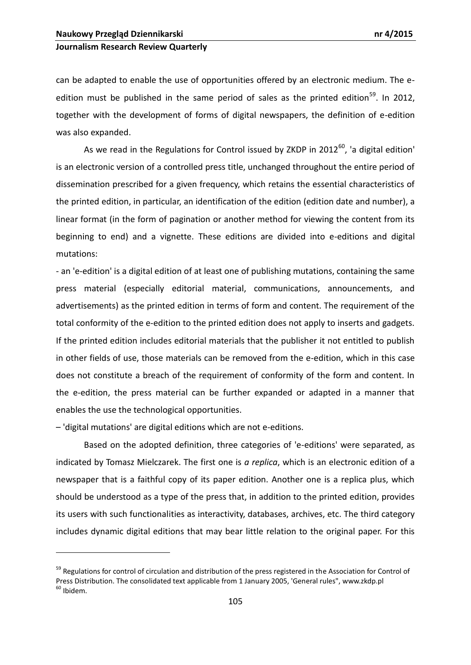can be adapted to enable the use of opportunities offered by an electronic medium. The eedition must be published in the same period of sales as the printed edition<sup>59</sup>. In 2012, together with the development of forms of digital newspapers, the definition of e-edition was also expanded.

As we read in the Regulations for Control issued by ZKDP in  $2012^{60}$ , 'a digital edition' is an electronic version of a controlled press title, unchanged throughout the entire period of dissemination prescribed for a given frequency, which retains the essential characteristics of the printed edition, in particular, an identification of the edition (edition date and number), a linear format (in the form of pagination or another method for viewing the content from its beginning to end) and a vignette. These editions are divided into e-editions and digital mutations:

- an 'e-edition' is a digital edition of at least one of publishing mutations, containing the same press material (especially editorial material, communications, announcements, and advertisements) as the printed edition in terms of form and content. The requirement of the total conformity of the e-edition to the printed edition does not apply to inserts and gadgets. If the printed edition includes editorial materials that the publisher it not entitled to publish in other fields of use, those materials can be removed from the e-edition, which in this case does not constitute a breach of the requirement of conformity of the form and content. In the e-edition, the press material can be further expanded or adapted in a manner that enables the use the technological opportunities.

– 'digital mutations' are digital editions which are not e-editions.

1

Based on the adopted definition, three categories of 'e-editions' were separated, as indicated by Tomasz Mielczarek. The first one is *a replica*, which is an electronic edition of a newspaper that is a faithful copy of its paper edition. Another one is a replica plus, which should be understood as a type of the press that, in addition to the printed edition, provides its users with such functionalities as interactivity, databases, archives, etc. The third category includes dynamic digital editions that may bear little relation to the original paper. For this

<sup>&</sup>lt;sup>59</sup> Regulations for control of circulation and distribution of the press registered in the Association for Control of Press Distribution. The consolidated text applicable from 1 January 2005, 'General rules", www.zkdp.pl <sup>60</sup> Ibidem.

<sup>105</sup>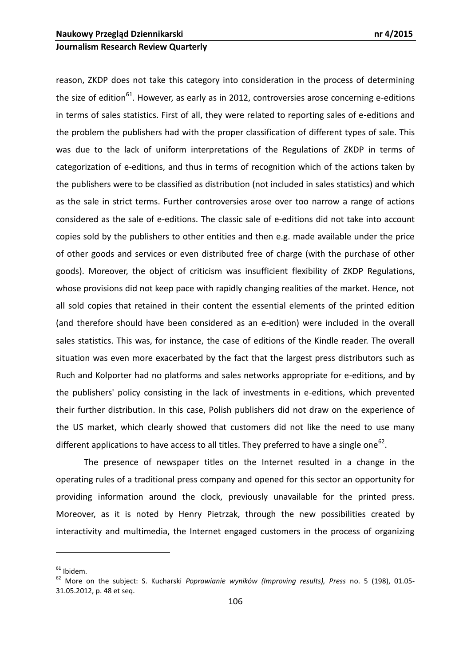reason, ZKDP does not take this category into consideration in the process of determining the size of edition<sup>61</sup>. However, as early as in 2012, controversies arose concerning e-editions in terms of sales statistics. First of all, they were related to reporting sales of e-editions and the problem the publishers had with the proper classification of different types of sale. This was due to the lack of uniform interpretations of the Regulations of ZKDP in terms of categorization of e-editions, and thus in terms of recognition which of the actions taken by the publishers were to be classified as distribution (not included in sales statistics) and which as the sale in strict terms. Further controversies arose over too narrow a range of actions considered as the sale of e-editions. The classic sale of e-editions did not take into account copies sold by the publishers to other entities and then e.g. made available under the price of other goods and services or even distributed free of charge (with the purchase of other goods). Moreover, the object of criticism was insufficient flexibility of ZKDP Regulations, whose provisions did not keep pace with rapidly changing realities of the market. Hence, not all sold copies that retained in their content the essential elements of the printed edition (and therefore should have been considered as an e-edition) were included in the overall sales statistics. This was, for instance, the case of editions of the Kindle reader. The overall situation was even more exacerbated by the fact that the largest press distributors such as Ruch and Kolporter had no platforms and sales networks appropriate for e-editions, and by the publishers' policy consisting in the lack of investments in e-editions, which prevented their further distribution. In this case, Polish publishers did not draw on the experience of the US market, which clearly showed that customers did not like the need to use many different applications to have access to all titles. They preferred to have a single one<sup>62</sup>.

The presence of newspaper titles on the Internet resulted in a change in the operating rules of a traditional press company and opened for this sector an opportunity for providing information around the clock, previously unavailable for the printed press. Moreover, as it is noted by Henry Pietrzak, through the new possibilities created by interactivity and multimedia, the Internet engaged customers in the process of organizing

 $61$  Ibidem.

<sup>62</sup> More on the subject: S. Kucharski *Poprawianie wyników (Improving results), Press* no. 5 (198), 01.05- 31.05.2012, p. 48 et seq.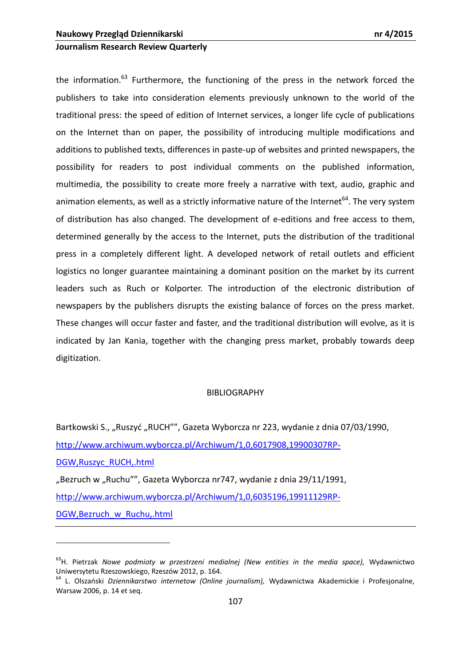## **Journalism Research Review Quarterly**

the information.<sup>63</sup> Furthermore, the functioning of the press in the network forced the publishers to take into consideration elements previously unknown to the world of the traditional press: the speed of edition of Internet services, a longer life cycle of publications on the Internet than on paper, the possibility of introducing multiple modifications and additions to published texts, differences in paste-up of websites and printed newspapers, the possibility for readers to post individual comments on the published information, multimedia, the possibility to create more freely a narrative with text, audio, graphic and animation elements, as well as a strictly informative nature of the Internet<sup>64</sup>. The very system of distribution has also changed. The development of e-editions and free access to them, determined generally by the access to the Internet, puts the distribution of the traditional press in a completely different light. A developed network of retail outlets and efficient logistics no longer guarantee maintaining a dominant position on the market by its current leaders such as Ruch or Kolporter. The introduction of the electronic distribution of newspapers by the publishers disrupts the existing balance of forces on the press market. These changes will occur faster and faster, and the traditional distribution will evolve, as it is indicated by Jan Kania, together with the changing press market, probably towards deep digitization.

#### **BIBLIOGRAPHY**

Bartkowski S., "Ruszyć "RUCH"", Gazeta Wyborcza nr 223, wydanie z dnia 07/03/1990, [http://www.archiwum.wyborcza.pl/Archiwum/1,0,6017908,19900307RP-](http://www.archiwum.wyborcza.pl/Archiwum/1,0,6017908,19900307RP-DGW,Ruszyc_RUCH,.html)[DGW,Ruszyc\\_RUCH,.html](http://www.archiwum.wyborcza.pl/Archiwum/1,0,6017908,19900307RP-DGW,Ruszyc_RUCH,.html) "Bezruch w "Ruchu"", Gazeta Wyborcza nr747, wydanie z dnia 29/11/1991, [http://www.archiwum.wyborcza.pl/Archiwum/1,0,6035196,19911129RP-](http://www.archiwum.wyborcza.pl/Archiwum/1,0,6035196,19911129RP-DGW,Bezruch_w_Ruchu,.html)[DGW,Bezruch\\_w\\_Ruchu,.html](http://www.archiwum.wyborcza.pl/Archiwum/1,0,6035196,19911129RP-DGW,Bezruch_w_Ruchu,.html)

<sup>63</sup>H. Pietrzak *Nowe podmioty w przestrzeni medialnej (New entities in the media space),* Wydawnictwo Uniwersytetu Rzeszowskiego, Rzeszów 2012, p. 164.

<sup>&</sup>lt;sup>64</sup> L. Olszański Dziennikarstwo internetow (Online journalism), Wydawnictwa Akademickie i Profesjonalne, Warsaw 2006, p. 14 et seq.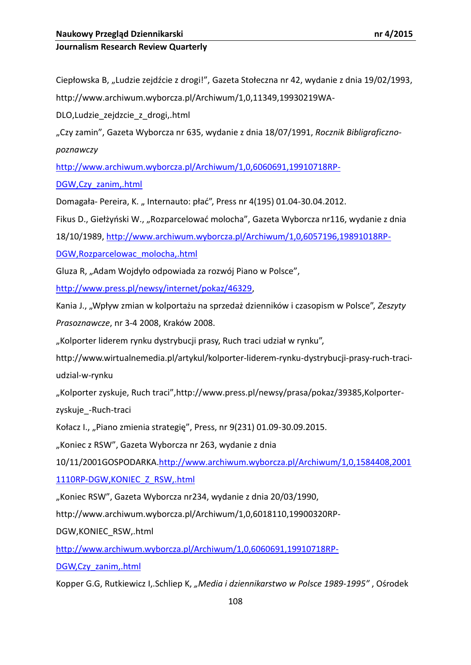Ciepłowska B, "Ludzie zejdźcie z drogi!", Gazeta Stołeczna nr 42, wydanie z dnia 19/02/1993,

http://www.archiwum.wyborcza.pl/Archiwum/1,0,11349,19930219WA-

DLO,Ludzie\_zejdzcie\_z\_drogi,.html

"Czy zamin", Gazeta Wyborcza nr 635, wydanie z dnia 18/07/1991, *Rocznik Bibligraficznopoznawczy*

[http://www.archiwum.wyborcza.pl/Archiwum/1,0,6060691,19910718RP-](http://www.archiwum.wyborcza.pl/Archiwum/1,0,6060691,19910718RP-DGW,Czy_zanim,.html)

[DGW,Czy\\_zanim,.html](http://www.archiwum.wyborcza.pl/Archiwum/1,0,6060691,19910718RP-DGW,Czy_zanim,.html)

Domagała- Pereira, K.,, Internauto: płać", Press nr 4(195) 01.04-30.04.2012.

Fikus D., Giełżyński W., "Rozparcelować molocha", Gazeta Wyborcza nr116, wydanie z dnia

18/10/1989, [http://www.archiwum.wyborcza.pl/Archiwum/1,0,6057196,19891018RP-](http://www.archiwum.wyborcza.pl/Archiwum/1,0,6057196,19891018RP-DGW,Rozparcelowac_molocha,.html)

[DGW,Rozparcelowac\\_molocha,.html](http://www.archiwum.wyborcza.pl/Archiwum/1,0,6057196,19891018RP-DGW,Rozparcelowac_molocha,.html)

Gluza R, "Adam Wojdyło odpowiada za rozwój Piano w Polsce",

[http://www.press.pl/newsy/internet/pokaz/46329,](http://www.press.pl/newsy/internet/pokaz/46329)

Kania J., "Wpływ zmian w kolportażu na sprzedaż dzienników i czasopism w Polsce", *Zeszyty Prasoznawcze*, nr 3-4 2008, Kraków 2008.

"Kolporter liderem rynku dystrybucji prasy, Ruch traci udział w rynku",

[http://www.wirtualnemedia.pl/artykul/kolporter](http://www.wirtualnemedia.pl/artykul/kolporter-liderem-rynku-dystrybucji-prasy-ruch-traci-udzial-w-rynku)-liderem-rynku-dystrybucji-prasy-ruch-traci[udzial](http://www.wirtualnemedia.pl/artykul/kolporter-liderem-rynku-dystrybucji-prasy-ruch-traci-udzial-w-rynku)-w-rynku

"Kolporter zyskuje, Ruch traci",http://www.press.pl/newsy/prasa/pokaz/39385,Kolporter-

zyskuje - Ruch-traci

Kołacz I., "Piano zmienia strategię", Press, nr 9(231) 01.09-30.09.2015.

"Koniec z RSW", Gazeta Wyborcza nr 263, wydanie z dnia

10/11/2001GOSPODARKA[.http://www.archiwum.wyborcza.pl/Archiwum/1,0,1584408,2001](http://www.archiwum.wyborcza.pl/Archiwum/1,0,1584408,20011110RP-DGW,KONIEC_Z_RSW,.html)

[1110RP-DGW,KONIEC\\_Z\\_RSW,.html](http://www.archiwum.wyborcza.pl/Archiwum/1,0,1584408,20011110RP-DGW,KONIEC_Z_RSW,.html)

"Koniec RSW", Gazeta Wyborcza nr234, wydanie z dnia 20/03/1990,

http://www.archiwum.wyborcza.pl/Archiwum/1,0,6018110,19900320RP-

DGW,KONIEC\_RSW,.html

[http://www.archiwum.wyborcza.pl/Archiwum/1,0,6060691,19910718RP](http://www.archiwum.wyborcza.pl/Archiwum/1,0,6060691,19910718RP-DGW,Czy_zanim,.html)-

[DGW,Czy\\_zanim,.html](http://www.archiwum.wyborcza.pl/Archiwum/1,0,6060691,19910718RP-DGW,Czy_zanim,.html)

Kopper G.G, Rutkiewicz I,.Schliep K, *"Media i dziennikarstwo w Polsce 1989-1995"* , Ośrodek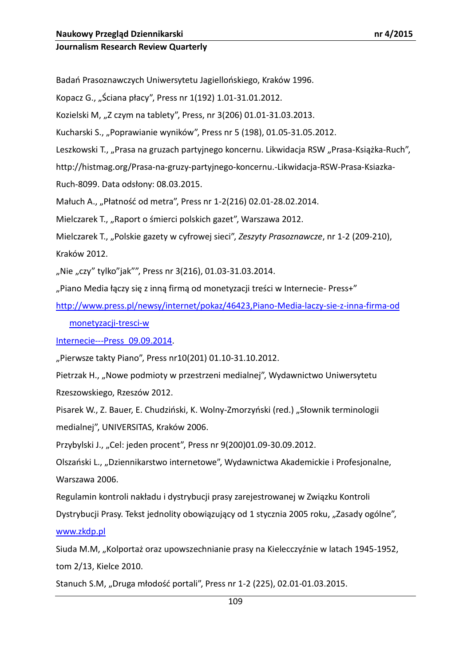Badań Prasoznawczych Uniwersytetu Jagiellońskiego, Kraków 1996.

Kopacz G., "Ściana płacy", Press nr 1(192) 1.01-31.01.2012.

Kozielski M, "Z czym na tablety", Press, nr 3(206) 01.01-31.03.2013.

Kucharski S., "Poprawianie wyników", Press nr 5 (198), 01.05-31.05.2012.

Leszkowski T., "Prasa na gruzach partyjnego koncernu. Likwidacja RSW "Prasa-Książka-Ruch",

[http://histmag.org/Prasa](http://histmag.org/Prasa-na-gruzy-partyjnego-koncernu.-Likwidacja-RSW-Prasa-Ksiazka-Ruch-8099)-na-gruzy-partyjnego-koncernu.-Likwidacja-RSW-Prasa-Ksiazka-

Ruch-[8099.](http://histmag.org/Prasa-na-gruzy-partyjnego-koncernu.-Likwidacja-RSW-Prasa-Ksiazka-Ruch-8099) Data odsłony: 08.03.2015.

Małuch A., "Płatność od metra", Press nr 1-2(216) 02.01-28.02.2014.

Mielczarek T., "Raport o śmierci polskich gazet", Warszawa 2012.

Mielczarek T., "Polskie gazety w cyfrowej sieci", Zeszyty Prasoznawcze, nr 1-2 (209-210), Kraków 2012.

"Nie "czy" tylko"jak"", Press nr 3(216), 01.03-31.03.2014.

"Piano Media łączy się z inną firmą od monetyzacji treści w Internecie- Press+"

[http://www.press.pl/newsy/internet/pokaz/46423,Piano](http://www.press.pl/newsy/internet/pokaz/46423,Piano-Media-laczy-sie-z-inna-firma-od%20monetyzacji-tresci-w-Internecie---Press_09.09.2014)-Media-laczy-sie-z-inna-firma-od

# [monetyzacji](http://www.press.pl/newsy/internet/pokaz/46423,Piano-Media-laczy-sie-z-inna-firma-od%20monetyzacji-tresci-w-Internecie---Press_09.09.2014)-tresci-w

Internecie---[Press\\_09.09.2014.](http://www.press.pl/newsy/internet/pokaz/46423,Piano-Media-laczy-sie-z-inna-firma-od%20monetyzacji-tresci-w-Internecie---Press_09.09.2014)

"Pierwsze takty Piano", Press nr10(201) 01.10-31.10.2012.

Pietrzak H., "Nowe podmioty w przestrzeni medialnej", Wydawnictwo Uniwersytetu Rzeszowskiego, Rzeszów 2012.

Pisarek W., Z. Bauer, E. Chudziński, K. Wolny-Zmorzyński (red.) "Słownik terminologii medialnej", UNIVERSITAS, Kraków 2006.

Przybylski J., "Cel: jeden procent", Press nr 9(200)01.09-30.09.2012.

Olszański L., "Dziennikarstwo internetowe", Wydawnictwa Akademickie i Profesjonalne, Warszawa 2006.

Regulamin kontroli nakładu i dystrybucji prasy zarejestrowanej w Związku Kontroli

Dystrybucji Prasy. Tekst jednolity obowiązujący od 1 stycznia 2005 roku, "Zasady ogólne",

[www.zkdp.pl](http://www.zkdp.pl/)

Siuda M.M, "Kolportaż oraz upowszechnianie prasy na Kielecczyźnie w latach 1945-1952, tom 2/13, Kielce 2010.

Stanuch S.M, "Druga młodość portali", Press nr 1-2 (225), 02.01-01.03.2015.